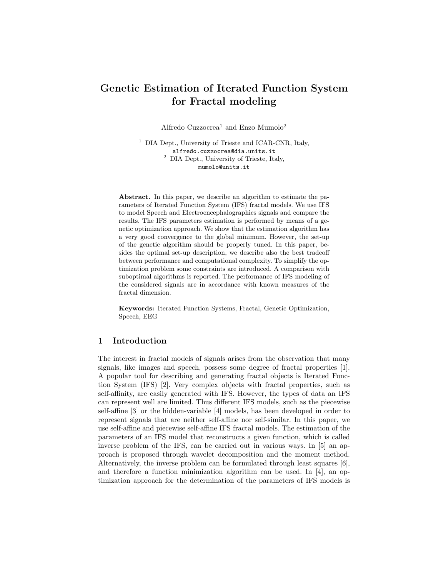# Genetic Estimation of Iterated Function System for Fractal modeling

Alfredo Cuzzocrea<sup>1</sup> and Enzo Mumolo<sup>2</sup>

<sup>1</sup> DIA Dept., University of Trieste and ICAR-CNR, Italy, alfredo.cuzzocrea@dia.units.it <sup>2</sup> DIA Dept., University of Trieste, Italy, mumolo@units.it

Abstract. In this paper, we describe an algorithm to estimate the parameters of Iterated Function System (IFS) fractal models. We use IFS to model Speech and Electroencephalographics signals and compare the results. The IFS parameters estimation is performed by means of a genetic optimization approach. We show that the estimation algorithm has a very good convergence to the global minimum. However, the set-up of the genetic algorithm should be properly tuned. In this paper, besides the optimal set-up description, we describe also the best tradeoff between performance and computational complexity. To simplify the optimization problem some constraints are introduced. A comparison with suboptimal algorithms is reported. The performance of IFS modeling of the considered signals are in accordance with known measures of the fractal dimension.

Keywords: Iterated Function Systems, Fractal, Genetic Optimization, Speech, EEG

### 1 Introduction

The interest in fractal models of signals arises from the observation that many signals, like images and speech, possess some degree of fractal properties [1]. A popular tool for describing and generating fractal objects is Iterated Function System (IFS) [2]. Very complex objects with fractal properties, such as self-affinity, are easily generated with IFS. However, the types of data an IFS can represent well are limited. Thus different IFS models, such as the piecewise self-affine [3] or the hidden-variable [4] models, has been developed in order to represent signals that are neither self-affine nor self-similar. In this paper, we use self-affine and piecewise self-affine IFS fractal models. The estimation of the parameters of an IFS model that reconstructs a given function, which is called inverse problem of the IFS, can be carried out in various ways. In [5] an approach is proposed through wavelet decomposition and the moment method. Alternatively, the inverse problem can be formulated through least squares [6], and therefore a function minimization algorithm can be used. In [4], an optimization approach for the determination of the parameters of IFS models is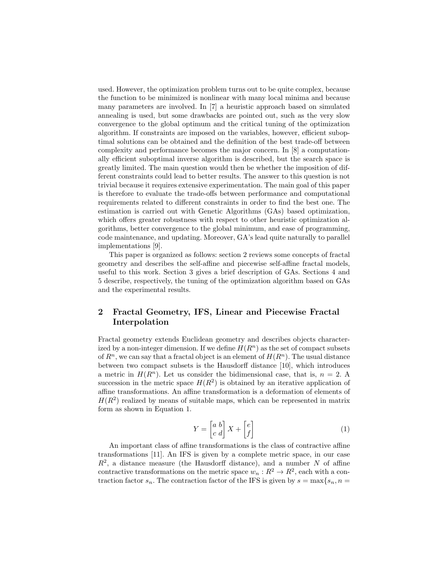used. However, the optimization problem turns out to be quite complex, because the function to be minimized is nonlinear with many local minima and because many parameters are involved. In [7] a heuristic approach based on simulated annealing is used, but some drawbacks are pointed out, such as the very slow convergence to the global optimum and the critical tuning of the optimization algorithm. If constraints are imposed on the variables, however, efficient suboptimal solutions can be obtained and the definition of the best trade-off between complexity and performance becomes the major concern. In [8] a computationally efficient suboptimal inverse algorithm is described, but the search space is greatly limited. The main question would then be whether the imposition of different constraints could lead to better results. The answer to this question is not trivial because it requires extensive experimentation. The main goal of this paper is therefore to evaluate the trade-offs between performance and computational requirements related to different constraints in order to find the best one. The estimation is carried out with Genetic Algorithms (GAs) based optimization, which offers greater robustness with respect to other heuristic optimization algorithms, better convergence to the global minimum, and ease of programming, code maintenance, and updating. Moreover, GA's lead quite naturally to parallel implementations [9].

This paper is organized as follows: section 2 reviews some concepts of fractal geometry and describes the self-affine and piecewise self-affine fractal models, useful to this work. Section 3 gives a brief description of GAs. Sections 4 and 5 describe, respectively, the tuning of the optimization algorithm based on GAs and the experimental results.

## 2 Fractal Geometry, IFS, Linear and Piecewise Fractal Interpolation

Fractal geometry extends Euclidean geometry and describes objects characterized by a non-integer dimension. If we define  $H(R^n)$  as the set of compact subsets of  $R^n$ , we can say that a fractal object is an element of  $H(R^n)$ . The usual distance between two compact subsets is the Hausdorff distance [10], which introduces a metric in  $H(R^n)$ . Let us consider the bidimensional case, that is,  $n = 2$ . A succession in the metric space  $H(R^2)$  is obtained by an iterative application of affine transformations. An affine transformation is a deformation of elements of  $H(R<sup>2</sup>)$  realized by means of suitable maps, which can be represented in matrix form as shown in Equation 1.

$$
Y = \begin{bmatrix} a & b \\ c & d \end{bmatrix} X + \begin{bmatrix} e \\ f \end{bmatrix}
$$
 (1)

An important class of affine transformations is the class of contractive affine transformations [11]. An IFS is given by a complete metric space, in our case  $R^2$ , a distance measure (the Hausdorff distance), and a number N of affine contractive transformations on the metric space  $w_n: R^2 \to R^2$ , each with a contraction factor  $s_n$ . The contraction factor of the IFS is given by  $s = \max\{s_n, n =$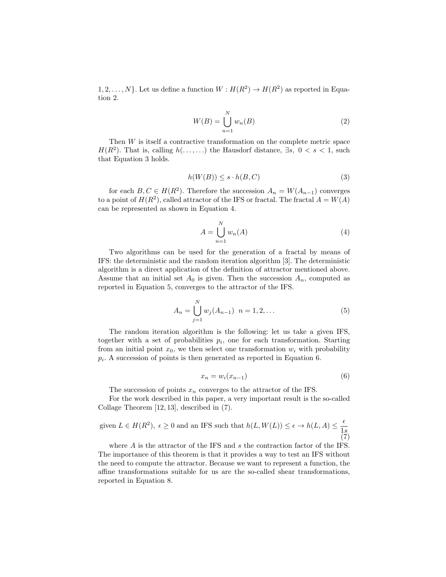$1, 2, \ldots, N$ . Let us define a function  $W : H(R^2) \to H(R^2)$  as reported in Equation 2.

$$
W(B) = \bigcup_{n=1}^{N} w_n(B)
$$
\n(2)

Then W is itself a contractive transformation on the complete metric space  $H(R^2)$ . That is, calling  $h(\ldots,\ldots)$  the Hausdorf distance,  $\exists s, 0 < s < 1$ , such that Equation 3 holds.

$$
h(W(B)) \le s \cdot h(B, C) \tag{3}
$$

for each  $B, C \in H(R^2)$ . Therefore the succession  $A_n = W(A_{n-1})$  converges to a point of  $H(R^2)$ , called attractor of the IFS or fractal. The fractal  $A = W(A)$ can be represented as shown in Equation 4.

$$
A = \bigcup_{n=1}^{N} w_n(A) \tag{4}
$$

Two algorithms can be used for the generation of a fractal by means of IFS: the deterministic and the random iteration algorithm [3]. The deterministic algorithm is a direct application of the definition of attractor mentioned above. Assume that an initial set  $A_0$  is given. Then the succession  $A_n$ , computed as reported in Equation 5, converges to the attractor of the IFS.

$$
A_n = \bigcup_{j=1}^{N} w_j(A_{n-1}) \quad n = 1, 2, \dots \tag{5}
$$

The random iteration algorithm is the following: let us take a given IFS, together with a set of probabilities  $p_i$ , one for each transformation. Starting from an initial point  $x_0$ , we then select one transformation  $w_i$  with probability  $p_i$ . A succession of points is then generated as reported in Equation 6.

$$
x_n = w_i(x_{n-1})\tag{6}
$$

The succession of points  $x_n$  converges to the attractor of the IFS.

For the work described in this paper, a very important result is the so-called Collage Theorem [12, 13], described in (7).

given 
$$
L \in H(R^2)
$$
,  $\epsilon \ge 0$  and an IFS such that  $h(L, W(L)) \le \epsilon \to h(L, A) \le \frac{\epsilon}{1s}$  (7)

where A is the attractor of the IFS and s the contraction factor of the IFS. The importance of this theorem is that it provides a way to test an IFS without the need to compute the attractor. Because we want to represent a function, the affine transformations suitable for us are the so-called shear transformations, reported in Equation 8.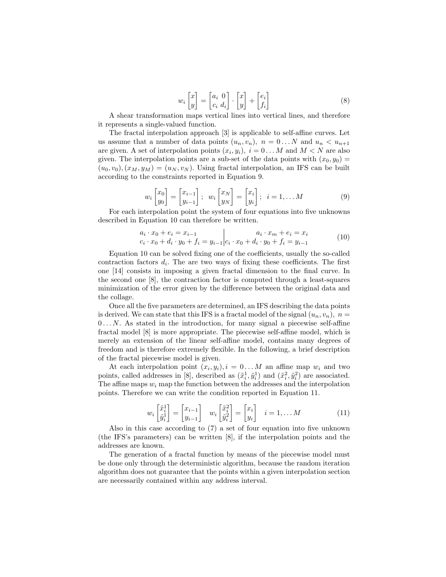$$
w_i\begin{bmatrix} x \\ y \end{bmatrix} = \begin{bmatrix} a_i & 0 \\ c_i & d_i \end{bmatrix} \cdot \begin{bmatrix} x \\ y \end{bmatrix} + \begin{bmatrix} e_i \\ f_i \end{bmatrix}
$$
 (8)

A shear transformation maps vertical lines into vertical lines, and therefore it represents a single-valued function.

The fractal interpolation approach [3] is applicable to self-affine curves. Let us assume that a number of data points  $(u_n, v_n)$ ,  $n = 0...N$  and  $u_n < u_{n+1}$ are given. A set of interpolation points  $(x_i, y_i)$ ,  $i = 0 \dots M$  and  $M \lt N$  are also given. The interpolation points are a sub-set of the data points with  $(x_0, y_0) =$  $(u_0, v_0), (x_M, y_M) = (u_N, v_N)$ . Using fractal interpolation, an IFS can be built according to the constraints reported in Equation 9.

$$
w_i\begin{bmatrix} x_0 \\ y_0 \end{bmatrix} = \begin{bmatrix} x_{i-1} \\ y_{i-1} \end{bmatrix}; \quad w_i\begin{bmatrix} x_N \\ y_N \end{bmatrix} = \begin{bmatrix} x_i \\ y_i \end{bmatrix}; \quad i = 1, \dots M
$$
 (9)

For each interpolation point the system of four equations into five unknowns described in Equation 10 can therefore be written.

$$
a_i \cdot x_0 + e_i = x_{i-1} \qquad a_i \cdot x_m + e_i = x_i
$$
  
\n
$$
c_i \cdot x_0 + d_i \cdot y_0 + f_i = y_{i-1} | c_i \cdot x_0 + d_i \cdot y_0 + f_i = y_{i-1}
$$
\n(10)

Equation 10 can be solved fixing one of the coefficients, usually the so-called contraction factors  $d_i$ . The are two ways of fixing these coefficients. The first one [14] consists in imposing a given fractal dimension to the final curve. In the second one [8], the contraction factor is computed through a least-squares minimization of the error given by the difference between the original data and the collage.

Once all the five parameters are determined, an IFS describing the data points is derived. We can state that this IFS is a fractal model of the signal  $(u_n, v_n)$ ,  $n =$  $0 \ldots N$ . As stated in the introduction, for many signal a piecewise self-affine fractal model [8] is more appropriate. The piecewise self-affine model, which is merely an extension of the linear self-affine model, contains many degrees of freedom and is therefore extremely flexible. In the following, a brief description of the fractal piecewise model is given.

At each interpolation point  $(x_i, y_i), i = 0...M$  an affine map  $w_i$  and two points, called addresses in [8], described as  $(\tilde{x}_i^1, \tilde{y}_i^1)$  and  $(\tilde{x}_i^2, \tilde{y}_i^2)$  are associated. The affine maps  $w_i$  map the function between the addresses and the interpolation points. Therefore we can write the condition reported in Equation 11.

$$
w_i\begin{bmatrix} \tilde{x}_i^1 \\ \tilde{y}_i^1 \end{bmatrix} = \begin{bmatrix} x_{i-1} \\ y_{i-1} \end{bmatrix} \quad w_i\begin{bmatrix} \tilde{x}_i^2 \\ \tilde{y}_i^2 \end{bmatrix} = \begin{bmatrix} x_i \\ y_i \end{bmatrix} \quad i = 1, \dots M \tag{11}
$$

Also in this case according to (7) a set of four equation into five unknown (the IFS's parameters) can be written [8], if the interpolation points and the addresses are known.

The generation of a fractal function by means of the piecewise model must be done only through the deterministic algorithm, because the random iteration algorithm does not guarantee that the points within a given interpolation section are necessarily contained within any address interval.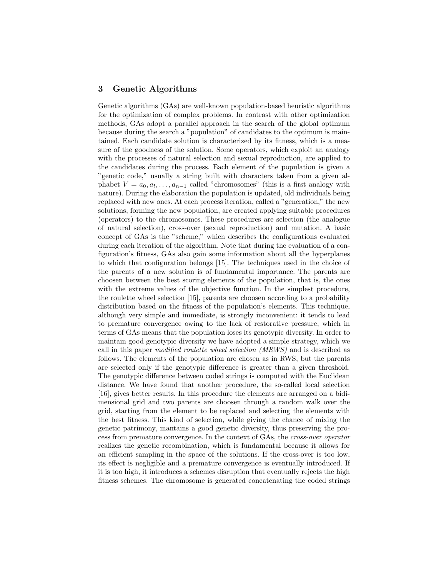#### 3 Genetic Algorithms

Genetic algorithms (GAs) are well-known population-based heuristic algorithms for the optimization of complex problems. In contrast with other optimization methods, GAs adopt a parallel approach in the search of the global optimum because during the search a "population" of candidates to the optimum is maintained. Each candidate solution is characterized by its fitness, which is a measure of the goodness of the solution. Some operators, which exploit an analogy with the processes of natural selection and sexual reproduction, are applied to the candidates during the process. Each element of the population is given a "genetic code," usually a string built with characters taken from a given alphabet  $V = a_0, a_1, \ldots, a_{n-1}$  called "chromosomes" (this is a first analogy with nature). During the elaboration the population is updated, old individuals being replaced with new ones. At each process iteration, called a "generation," the new solutions, forming the new population, are created applying suitable procedures (operators) to the chromosomes. These procedures are selection (the analogue of natural selection), cross-over (sexual reproduction) and mutation. A basic concept of GAs is the "scheme," which describes the configurations evaluated during each iteration of the algorithm. Note that during the evaluation of a configuration's fitness, GAs also gain some information about all the hyperplanes to which that configuration belongs [15]. The techniques used in the choice of the parents of a new solution is of fundamental importance. The parents are choosen between the best scoring elements of the population, that is, the ones with the extreme values of the objective function. In the simplest procedure, the roulette wheel selection [15], parents are choosen according to a probability distribution based on the fitness of the population's elements. This technique, although very simple and immediate, is strongly inconvenient: it tends to lead to premature convergence owing to the lack of restorative pressure, which in terms of GAs means that the population loses its genotypic diversity. In order to maintain good genotypic diversity we have adopted a simple strategy, which we call in this paper modified roulette wheel selection (MRWS) and is described as follows. The elements of the population are chosen as in RWS, but the parents are selected only if the genotypic difference is greater than a given threshold. The genotypic difference between coded strings is computed with the Euclidean distance. We have found that another procedure, the so-called local selection [16], gives better results. In this procedure the elements are arranged on a bidimensional grid and two parents are choosen through a random walk over the grid, starting from the element to be replaced and selecting the elements with the best fitness. This kind of selection, while giving the chance of mixing the genetic patrimony, mantains a good genetic diversity, thus preserving the process from premature convergence. In the context of GAs, the cross-over operator realizes the genetic recombination, which is fundamental because it allows for an efficient sampling in the space of the solutions. If the cross-over is too low, its effect is negligible and a premature convergence is eventually introduced. If it is too high, it introduces a schemes disruption that eventually rejects the high fitness schemes. The chromosome is generated concatenating the coded strings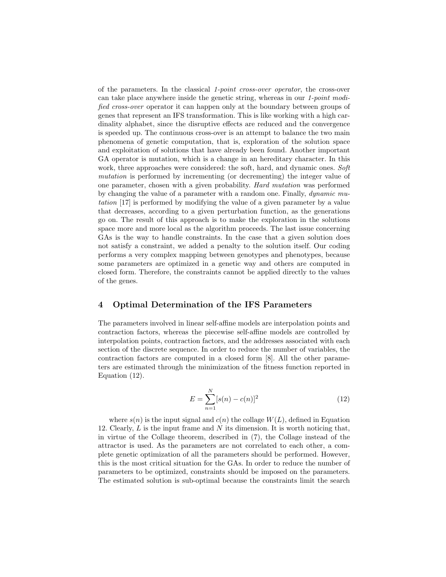of the parameters. In the classical 1-point cross-over operator, the cross-over can take place anywhere inside the genetic string, whereas in our 1-point modified cross-over operator it can happen only at the boundary between groups of genes that represent an IFS transformation. This is like working with a high cardinality alphabet, since the disruptive effects are reduced and the convergence is speeded up. The continuous cross-over is an attempt to balance the two main phenomena of genetic computation, that is, exploration of the solution space and exploitation of solutions that have already been found. Another important GA operator is mutation, which is a change in an hereditary character. In this work, three approaches were considered: the soft, hard, and dynamic ones. Soft mutation is performed by incrementing (or decrementing) the integer value of one parameter, chosen with a given probability. Hard mutation was performed by changing the value of a parameter with a random one. Finally, dynamic mutation [17] is performed by modifying the value of a given parameter by a value that decreases, according to a given perturbation function, as the generations go on. The result of this approach is to make the exploration in the solutions space more and more local as the algorithm proceeds. The last issue concerning GAs is the way to handle constraints. In the case that a given solution does not satisfy a constraint, we added a penalty to the solution itself. Our coding performs a very complex mapping between genotypes and phenotypes, because some parameters are optimized in a genetic way and others are computed in closed form. Therefore, the constraints cannot be applied directly to the values of the genes.

#### 4 Optimal Determination of the IFS Parameters

The parameters involved in linear self-affine models are interpolation points and contraction factors, whereas the piecewise self-affine models are controlled by interpolation points, contraction factors, and the addresses associated with each section of the discrete sequence. In order to reduce the number of variables, the contraction factors are computed in a closed form [8]. All the other parameters are estimated through the minimization of the fitness function reported in Equation (12).

$$
E = \sum_{n=1}^{N} [s(n) - c(n)]^2
$$
 (12)

where  $s(n)$  is the input signal and  $c(n)$  the collage  $W(L)$ , defined in Equation 12. Clearly,  $L$  is the input frame and  $N$  its dimension. It is worth noticing that, in virtue of the Collage theorem, described in (7), the Collage instead of the attractor is used. As the parameters are not correlated to each other, a complete genetic optimization of all the parameters should be performed. However, this is the most critical situation for the GAs. In order to reduce the number of parameters to be optimized, constraints should be imposed on the parameters. The estimated solution is sub-optimal because the constraints limit the search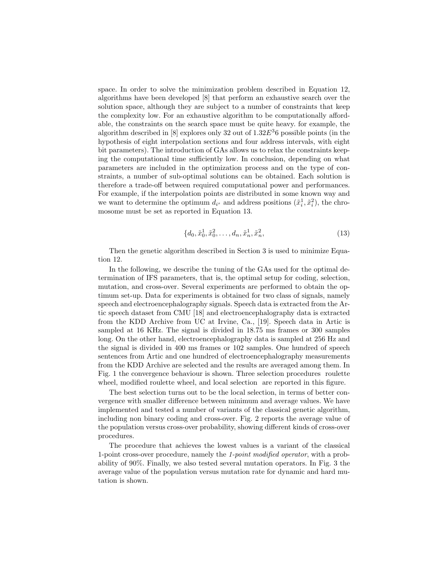space. In order to solve the minimization problem described in Equation 12, algorithms have been developed [8] that perform an exhaustive search over the solution space, although they are subject to a number of constraints that keep the complexity low. For an exhaustive algorithm to be computationally affordable, the constraints on the search space must be quite heavy. for example, the algorithm described in [8] explores only 32 out of  $1.32E^36$  possible points (in the hypothesis of eight interpolation sections and four address intervals, with eight bit parameters). The introduction of GAs allows us to relax the constraints keeping the computational time sufficiently low. In conclusion, depending on what parameters are included in the optimization process and on the type of constraints, a number of sub-optimal solutions can be obtained. Each solution is therefore a trade-off between required computational power and performances. For example, if the interpolation points are distributed in some known way and we want to determine the optimum  $d_{i^s}$  and address positions  $(\tilde{x}_i^1, \tilde{x}_i^2)$ , the chromosome must be set as reported in Equation 13.

$$
\{d_0, \tilde{x}_0^1, \tilde{x}_0^2, \dots, d_n, \tilde{x}_n^1, \tilde{x}_n^2,\tag{13}
$$

Then the genetic algorithm described in Section 3 is used to minimize Equation 12.

In the following, we describe the tuning of the GAs used for the optimal determination of IFS parameters, that is, the optimal setup for coding, selection, mutation, and cross-over. Several experiments are performed to obtain the optimum set-up. Data for experiments is obtained for two class of signals, namely speech and electroencephalography signals. Speech data is extracted from the Artic speech dataset from CMU [18] and electroencephalography data is extracted from the KDD Archive from UC at Irvine, Ca., [19]. Speech data in Artic is sampled at 16 KHz. The signal is divided in 18.75 ms frames or 300 samples long. On the other hand, electroencephalography data is sampled at 256 Hz and the signal is divided in 400 ms frames or 102 samples. One hundred of speech sentences from Artic and one hundred of electroencephalography measurements from the KDD Archive are selected and the results are averaged among them. In Fig. 1 the convergence behaviour is shown. Three selection procedures roulette wheel, modified roulette wheel, and local selection are reported in this figure.

The best selection turns out to be the local selection, in terms of better convergence with smaller difference between minimum and average values. We have implemented and tested a number of variants of the classical genetic algorithm, including non binary coding and cross-over. Fig. 2 reports the average value of the population versus cross-over probability, showing different kinds of cross-over procedures.

The procedure that achieves the lowest values is a variant of the classical 1-point cross-over procedure, namely the 1-point modified operator, with a probability of 90%. Finally, we also tested several mutation operators. In Fig. 3 the average value of the population versus mutation rate for dynamic and hard mutation is shown.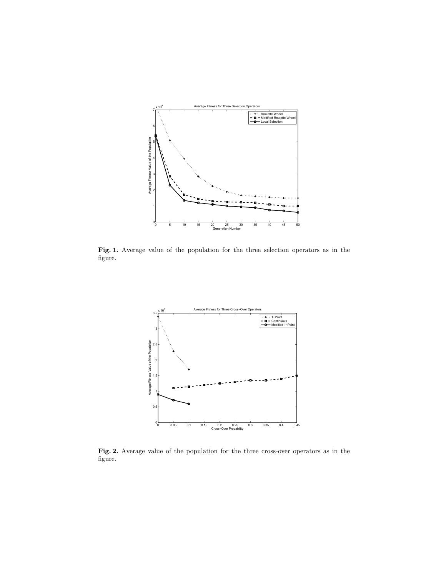

Fig. 1. Average value of the population for the three selection operators as in the figure.



Fig. 2. Average value of the population for the three cross-over operators as in the figure.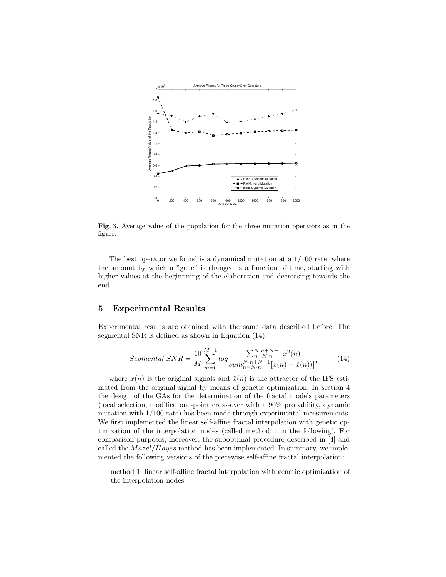

Fig. 3. Average value of the population for the three mutation operators as in the figure.

The best operator we found is a dynamical mutation at a 1/100 rate, where the amount by which a "gene" is changed is a function of time, starting with higher values at the beginnning of the elaboration and decreasing towards the end.

## 5 Experimental Results

Experimental results are obtained with the same data described before. The segmental SNR is defined as shown in Equation (14).

$$
Segmental \ SNR = \frac{10}{M} \sum_{m=0}^{M-1} \log \frac{\sum_{n=N \cdot n}^{N \cdot n+N-1} x^2(n)}{sum_{n=N \cdot n}^{N \cdot n+N-1} [x(n) - \hat{x}(n))]^2}
$$
(14)

where  $x(n)$  is the original signals and  $\hat{x}(n)$  is the attractor of the IFS estimated from the original signal by means of genetic optimization. In section 4 the design of the GAs for the determination of the fractal models parameters (local selection, modified one-point cross-over with a 90% probability, dynamic mutation with 1/100 rate) has been made through experimental measurements. We first implemented the linear self-affine fractal interpolation with genetic optimization of the interpolation nodes (called method 1 in the following). For comparison purposes, moreover, the suboptimal procedure described in [4] and called the  $Mazel/Hayes$  method has been implemented. In summary, we implemented the following versions of the piecewise self-affine fractal interpolation:

– method 1: linear self-affine fractal interpolation with genetic optimization of the interpolation nodes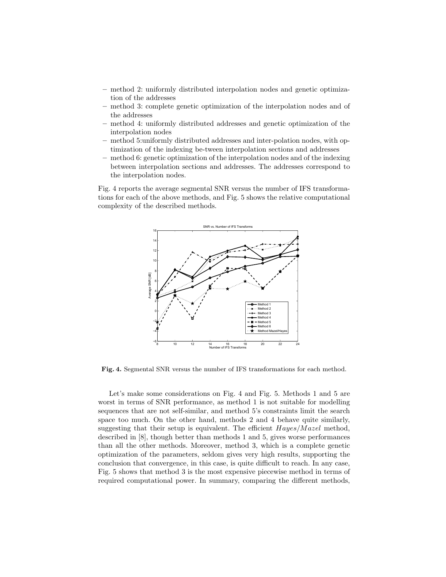- method 2: uniformly distributed interpolation nodes and genetic optimization of the addresses
- method 3: complete genetic optimization of the interpolation nodes and of the addresses
- method 4: uniformly distributed addresses and genetic optimization of the interpolation nodes
- method 5:uniformly distributed addresses and inter-polation nodes, with optimization of the indexing be-tween interpolation sections and addresses
- method 6: genetic optimization of the interpolation nodes and of the indexing between interpolation sections and addresses. The addresses correspond to the interpolation nodes.

Fig. 4 reports the average segmental SNR versus the number of IFS transformations for each of the above methods, and Fig. 5 shows the relative computational complexity of the described methods.



Fig. 4. Segmental SNR versus the number of IFS transformations for each method.

Let's make some considerations on Fig. 4 and Fig. 5. Methods 1 and 5 are worst in terms of SNR performance, as method 1 is not suitable for modelling sequences that are not self-similar, and method 5's constraints limit the search space too much. On the other hand, methods 2 and 4 behave quite similarly, suggesting that their setup is equivalent. The efficient  $Hayes/Mazel$  method, described in [8], though better than methods 1 and 5, gives worse performances than all the other methods. Moreover, method 3, which is a complete genetic optimization of the parameters, seldom gives very high results, supporting the conclusion that convergence, in this case, is quite difficult to reach. In any case, Fig. 5 shows that method 3 is the most expensive piecewise method in terms of required computational power. In summary, comparing the different methods,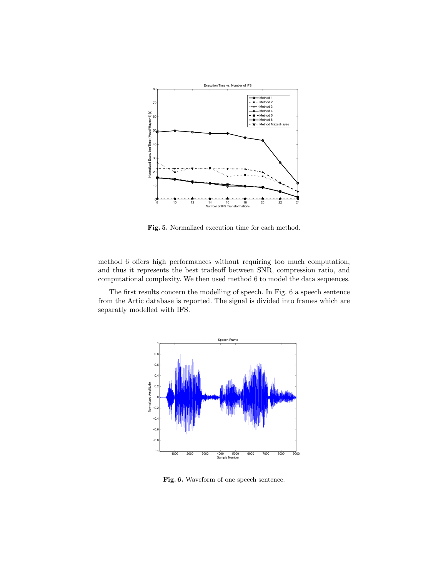

Fig. 5. Normalized execution time for each method.

method 6 offers high performances without requiring too much computation, and thus it represents the best tradeoff between SNR, compression ratio, and computational complexity. We then used method 6 to model the data sequences.

The first results concern the modelling of speech. In Fig. 6 a speech sentence from the Artic database is reported. The signal is divided into frames which are separatly modelled with IFS.



Fig. 6. Waveform of one speech sentence.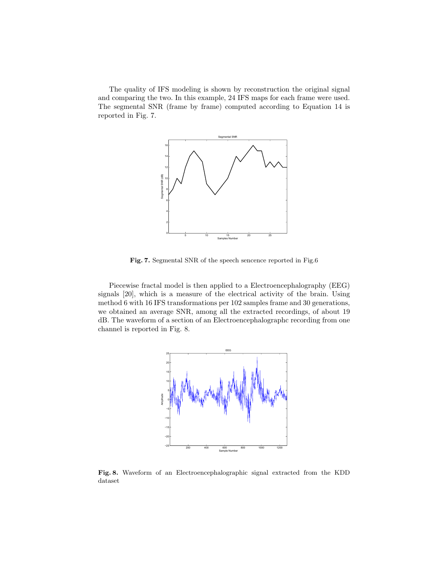The quality of IFS modeling is shown by reconstruction the original signal and comparing the two. In this example, 24 IFS maps for each frame were used. The segmental SNR (frame by frame) computed according to Equation 14 is reported in Fig. 7.



Fig. 7. Segmental SNR of the speech sencence reported in Fig.6

Piecewise fractal model is then applied to a Electroencephalography (EEG) signals [20], which is a measure of the electrical activity of the brain. Using method 6 with 16 IFS transformations per 102 samples frame and 30 generations, we obtained an average SNR, among all the extracted recordings, of about 19 dB. The waveform of a section of an Electroencephalographc recording from one channel is reported in Fig. 8.



Fig. 8. Waveform of an Electroencephalographic signal extracted from the KDD dataset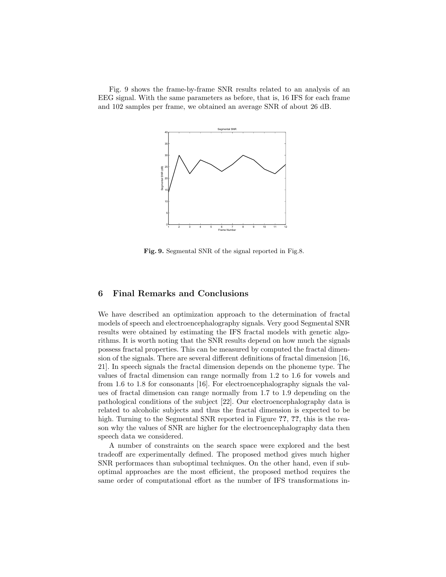Fig. 9 shows the frame-by-frame SNR results related to an analysis of an EEG signal. With the same parameters as before, that is, 16 IFS for each frame and 102 samples per frame, we obtained an average SNR of about 26 dB.



Fig. 9. Segmental SNR of the signal reported in Fig.8.

#### 6 Final Remarks and Conclusions

We have described an optimization approach to the determination of fractal models of speech and electroencephalography signals. Very good Segmental SNR results were obtained by estimating the IFS fractal models with genetic algorithms. It is worth noting that the SNR results depend on how much the signals possess fractal properties. This can be measured by computed the fractal dimension of the signals. There are several different definitions of fractal dimension [16, 21]. In speech signals the fractal dimension depends on the phoneme type. The values of fractal dimension can range normally from 1.2 to 1.6 for vowels and from 1.6 to 1.8 for consonants [16]. For electroencephalography signals the values of fractal dimension can range normally from 1.7 to 1.9 depending on the pathological conditions of the subject [22]. Our electroencephalography data is related to alcoholic subjects and thus the fractal dimension is expected to be high. Turning to the Segmental SNR reported in Figure ??, ??, this is the reason why the values of SNR are higher for the electroencephalography data then speech data we considered.

A number of constraints on the search space were explored and the best tradeoff are experimentally defined. The proposed method gives much higher SNR performaces than suboptimal techniques. On the other hand, even if suboptimal approaches are the most efficient, the proposed method requires the same order of computational effort as the number of IFS transformations in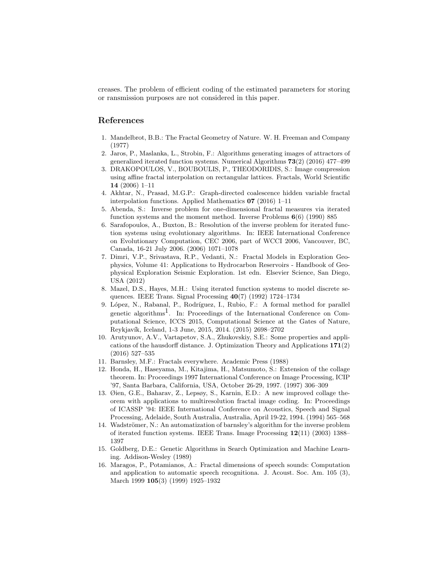creases. The problem of efficient coding of the estimated parameters for storing or ransmission purposes are not considered in this paper.

#### References

- 1. Mandelbrot, B.B.: The Fractal Geometry of Nature. W. H. Freeman and Company (1977)
- 2. Jaros, P., Maslanka, L., Strobin, F.: Algorithms generating images of attractors of generalized iterated function systems. Numerical Algorithms 73(2) (2016) 477–499
- 3. DRAKOPOULOS, V., BOUBOULIS, P., THEODORIDIS, S.: Image compression using affine fractal interpolation on rectangular lattices. Fractals, World Scientific 14 (2006) 1–11
- 4. Akhtar, N., Prasad, M.G.P.: Graph-directed coalescence hidden variable fractal interpolation functions. Applied Mathematics 07 (2016) 1–11
- 5. Abenda, S.: Inverse problem for one-dimensional fractal measures via iterated function systems and the moment method. Inverse Problems  $6(6)$  (1990) 885
- 6. Sarafopoulos, A., Buxton, B.: Resolution of the inverse problem for iterated function systems using evolutionary algorithms. In: IEEE International Conference on Evolutionary Computation, CEC 2006, part of WCCI 2006, Vancouver, BC, Canada, 16-21 July 2006. (2006) 1071–1078
- 7. Dimri, V.P., Srivastava, R.P., Vedanti, N.: Fractal Models in Exploration Geophysics, Volume 41: Applications to Hydrocarbon Reservoirs - Handbook of Geophysical Exploration Seismic Exploration. 1st edn. Elsevier Science, San Diego, USA (2012)
- 8. Mazel, D.S., Hayes, M.H.: Using iterated function systems to model discrete sequences. IEEE Trans. Signal Processing 40(7) (1992) 1724–1734
- 9. López, N., Rabanal, P., Rodríguez, I., Rubio, F.: A formal method for parallel genetic algorithms1 . In: Proceedings of the International Conference on Computational Science, ICCS 2015, Computational Science at the Gates of Nature, Reykjavík, Iceland, 1-3 June, 2015, 2014. (2015) 2698-2702
- 10. Arutyunov, A.V., Vartapetov, S.A., Zhukovskiy, S.E.: Some properties and applications of the hausdorff distance. J. Optimization Theory and Applications 171(2) (2016) 527–535
- 11. Barnsley, M.F.: Fractals everywhere. Academic Press (1988)
- 12. Honda, H., Haseyama, M., Kitajima, H., Matsumoto, S.: Extension of the collage theorem. In: Proceedings 1997 International Conference on Image Processing, ICIP '97, Santa Barbara, California, USA, October 26-29, 1997. (1997) 306–309
- 13. Øien, G.E., Baharav, Z., Lepsøy, S., Karnin, E.D.: A new improved collage theorem with applications to multiresolution fractal image coding. In: Proceedings of ICASSP '94: IEEE International Conference on Acoustics, Speech and Signal Processing, Adelaide, South Australia, Australia, April 19-22, 1994. (1994) 565–568
- 14. Wadströmer, N.: An automatization of barnsley's algorithm for the inverse problem of iterated function systems. IEEE Trans. Image Processing 12(11) (2003) 1388– 1397
- 15. Goldberg, D.E.: Genetic Algorithms in Search Optimization and Machine Learning. Addison-Wesley (1989)
- 16. Maragos, P., Potamianos, A.: Fractal dimensions of speech sounds: Computation and application to automatic speech recognitiona. J. Acoust. Soc. Am. 105 (3), March 1999 105(3) (1999) 1925–1932